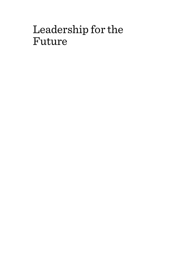# Leadership for the Future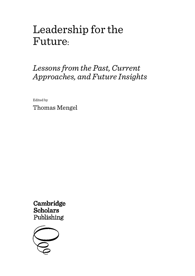# Leadership for the Future:

# *Lessons from the Past, Current Approaches, and Future Insights*

Edited by

Thomas Mengel

Cambridge **Scholars** Publishing

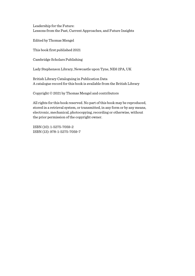Leadership for the Future: Lessons from the Past, Current Approaches, and Future Insights

Edited by Thomas Mengel

This book first published 2021

Cambridge Scholars Publishing

Lady Stephenson Library, Newcastle upon Tyne, NE6 2PA, UK

British Library Cataloguing in Publication Data A catalogue record for this book is available from the British Library

Copyright © 2021 by Thomas Mengel and contributors

All rights for this book reserved. No part of this book may be reproduced, stored in a retrieval system, or transmitted, in any form or by any means, electronic, mechanical, photocopying, recording or otherwise, without the prior permission of the copyright owner.

ISBN (10): 1-5275-7059-2 ISBN (13): 978-1-5275-7059-7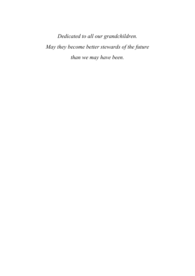*Dedicated to all our grandchildren. May they become better stewards of the future than we may have been.*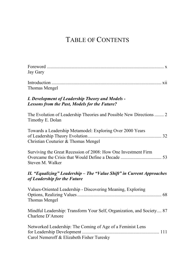# TABLE OF CONTENTS

| Jay Gary                                                                                                |
|---------------------------------------------------------------------------------------------------------|
| Thomas Mengel                                                                                           |
| I. Development of Leadership Theory and Models -<br>Lessons from the Past, Models for the Future?       |
| The Evolution of Leadership Theories and Possible New Directions  2<br>Timothy E. Dolan                 |
| Towards a Leadership Metamodel: Exploring Over 2000 Years<br>Christian Couturier & Thomas Mengel        |
| Surviving the Great Recession of 2008: How One Investment Firm<br>Steven M. Walker                      |
| II. "Equalizing" Leadership - The "Value Shift" in Current Approaches<br>of Leadership for the Future   |
| Values-Oriented Leadership - Discovering Meaning, Exploring<br>Thomas Mengel                            |
| Mindful Leadership: Transform Your Self, Organization, and Society 87<br>Charlene D'Amore               |
| Networked Leadership: The Coming of Age of a Feminist Lens<br>Carol Nemeroff & Elizabeth Fisher Turesky |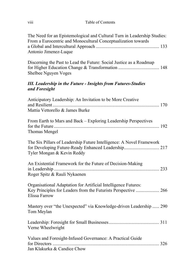viii Table of Contents

| The Need for an Epistemological and Cultural Turn in Leadership Studies:<br>From a Eurocentric and Monocultural Conceptualization towards<br>Antonio Jimenez-Luque |
|--------------------------------------------------------------------------------------------------------------------------------------------------------------------|
| Discerning the Past to Lead the Future: Social Justice as a Roadmap<br>Shelbee Nguyen Voges                                                                        |
| <b>III. Leadership in the Future - Insights from Futures-Studies</b><br>and Foresight                                                                              |
| Anticipatory Leadership: An Invitation to be More Creative<br>Mattia Vettorello & James Burke                                                                      |
| From Earth to Mars and Back - Exploring Leadership Perspectives<br>Thomas Mengel                                                                                   |
| The Six Pillars of Leadership Future Intelligence: A Novel Framework<br>for Developing Future-Ready Enhanced Leadership 217<br>Tyler Mongan & Kevin Reddy          |
| An Existential Framework for the Future of Decision-Making<br>Roger Spitz & Rauli Nykaenen                                                                         |
| Organisational Adaptation for Artificial Intelligence Futures:<br>Key Principles for Leaders from the Futurists Perspective  266<br>Elissa Farrow                  |
| Mastery over "the Unexpected" via Knowledge-driven Leadership  290<br>Tom Meylan                                                                                   |
| Verne Wheelwright                                                                                                                                                  |
| Values and Foresight-Infused Governance: A Practical Guide<br>Jan Klakurka & Candice Chow                                                                          |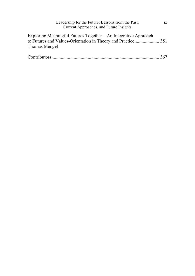| Leadership for the Future: Lessons from the Past,<br>Current Approaches, and Future Insights | 1X  |
|----------------------------------------------------------------------------------------------|-----|
| Exploring Meaningful Futures Together - An Integrative Approach<br>Thomas Mengel             |     |
|                                                                                              | 367 |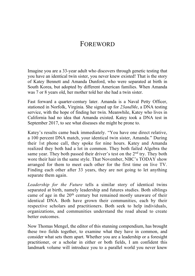# FOREWORD

Imagine you are a 33-year adult who discovers through genetic testing that you have an identical twin sister, you never knew existed! That is the story of Katey Bennett and Amanda Dunford, who were separated at birth in South Korea, but adopted by different American families. When Amanda was 7 or 8 years old, her mother told her she had a twin sister.

Fast forward a quarter-century later. Amanda is a Naval Petty Officer, stationed in Norfolk, Virginia. She signed up for *23andMe*, a DNA testing service, with the hope of finding her twin. Meanwhile, Katey who lives in California had no idea that Amanda existed. Katey took a DNA test in September 2017, to see what diseases she might be prone to.

Katey's results came back immediately. "You have one direct relative, a 100 percent DNA match, your identical twin sister, Amanda." During their 1st phone call, they spoke for nine hours. Katey and Amanda realized they both had a lot in common. They both failed Algebra the same year. They both passed their driver's test on the 2<sup>nd</sup> try. They both wore their hair in the same style. That November, NBC's TODAY show arranged for them to meet each other for the first time on live TV. Finding each other after 33 years, they are not going to let anything separate them again.

*Leadership for the Future* tells a similar story of identical twins separated at birth, namely leadership and futures studies. Both siblings came of age in the  $20<sup>th</sup>$  century but remained mostly unaware of their identical DNA. Both have grown their communities, each by their respective scholars and practitioners. Both seek to help individuals, organizations, and communities understand the road ahead to create better outcomes.

Now Thomas Mengel, the editor of this stunning compendium, has brought these two fields together, to examine what they have in common, and consider what sets them apart. Whether you are a leadership or a foresight practitioner, or a scholar in either or both fields, I am confident this landmark volume will introduce you to a parallel world you never knew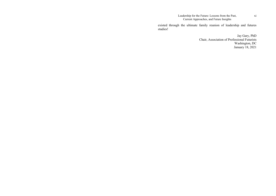existed through the ultimate family reunion of leadership and futures studies!

> Jay Gary, PhD Chair, Association of Professional Futurists Washington, DC January 18, 2021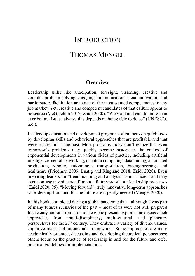# **INTRODUCTION**

# THOMAS MENGEL

### **Overview**

Leadership skills like anticipation, foresight, visioning, creative and complex problem-solving, engaging communication, social innovation, and participatory facilitation are some of the most wanted competencies in any job market. Yet, creative and competent candidates of that calibre appear to be scarce (McGlochlin 2017; Zaidi 2020). "We want and can do more than ever before. But as always this depends on being able to do so" (UNESCO, n.d.).

Leadership education and development programs often focus on quick fixes by developing skills and behavioral approaches that are profitable and that were successful in the past. Most programs today don't realize that even tomorrow's problems may quickly become history in the context of exponential developments in various fields of practice, including artificial intelligence, neural networking, quantum computing, data mining, automated production, robotic, autonomous transportation, bioengineering, and healthcare (Friedman 2009; Lustig and Ringland 2018; Zaidi 2020). Even preparing leaders for "trend mapping and analysis" is insufficient and may even confuse any sincere efforts to "future-proof" our leadership processes (Zaidi 2020, 95). "Moving forward", truly innovative long-term approaches to leadership from and for the future are urgently needed (Mengel 2020).

In this book, completed during a global pandemic that – although it was part of many futures scenarios of the past – most of us were not well prepared for, twenty authors from around the globe present, explore, and discuss such approaches from multi-disciplinary, multi-cultural, and planetary perspectives for the 21<sup>st</sup> century. They embrace a variety of diverse values, cognitive maps, definitions, and frameworks. Some approaches are more academically oriented, discussing and developing theoretical perspectives; others focus on the practice of leadership in and for the future and offer practical guidelines for implementation.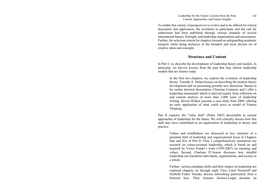To enable this variety of perspectives to evolve and to be offered for critical discussion and application, the invitation to participate and the call for submission had been published through various channels of several international futures, foresight, and leadership organizations and associations. Further, the selection criteria for chapters focused on safeguarding academic integrity while being inclusive of the broadest and most diverse set of creative ideas and concepts.

### **Structure and Content**

In Part I, we describe the development of leadership theory and models. In particular, we harvest lessons from the past that may inform leadership models that are futures ready.

> In the first two chapters, we explore the evolution of leadership theory. Timothy E. Dolan focuses on describing the modern theory development and on presenting possible new directions. Based on his earlier doctoral dissertation, Christian Couturier and I offer a leadership metamodel which is derived mainly from reflection on and content analysis of more than 2,000 years of leadership writing. Steven Walker presents a case study from 2008, offering an early application of what could serve as model of Futures Thinking.

Part II explores the "value shift" (Paine 2003) discernable in current approaches of leadership for the future. We will critically discuss how this shift may have contributed to an equalization of leadership in theory and practice.

> Values and mindfulness are discussed as key elements of a potential shift of leadership and organizational focus in Chapters four and five of Part II. First, I comprehensively summarize my research on values-oriented leadership, which is based on and inspired by Victor Frankl's work (1959-2007) on meaning and values. Second, Charlene D'Amore discusses how mindful leadership can transform individuals, organizations, and society as a whole.

> Further, various paradigm shifts and their impact on leadership are explored chapters six through eight. First, Carol Nemeroff and Elizbeth Fisher Turesky discuss networking particularly from a feminist lens. Then Antonio Jiminez-Luque presents an

xiii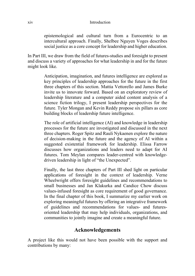#### xiv Introduction

epistemological and cultural turn from a Eurocentric to an intercultural approach. Finally, Shelbee Nguyen Voges describes social justice as a core concept for leadership and higher education.

In Part III, we draw from the field of futures-studies and foresight to present and discuss a variety of approaches for what leadership in and for the future might look like.

> Anticipation, imagination, and futures intelligence are explored as key principles of leadership approaches for the future in the first three chapters of this section. Mattia Vettorello and James Burke invite us to innovate forward. Based on an exploratory review of leadership literature and a computer aided content analysis of a science fiction trilogy, I present leadership perspectives for the future. Tyler Mongan and Kevin Reddy propose six pillars as core building blocks of leadership future intelligence.

> The role of artificial intelligence (AI) and knowledge in leadership processes for the future are investigated and discussed in the next three chapters. Roger Spitz and Rauli Nykaenen explore the nature of decision-making in the future and the agency of AI within a suggested existential framework for leadership. Elissa Farrow discusses how organizations and leaders need to adapt for AI futures. Tom Meylan compares leader-centred with knowledgedriven leadership in light of "the Unexpected".

> Finally, the last three chapters of Part III shed light on particular applications of foresight in the context of leadership. Verne Wheelwright offers foresight guidelines and recommendations to small businesses and Jan Klakurka and Candice Chow discuss values-infused foresight as core requirement of good governance. In the final chapter of this book, I summarize my earlier work on exploring meaningful futures by offering an integrative framework of guidelines and recommendations for values- and futuresoriented leadership that may help individuals, organizations, and communities to jointly imagine and create a meaningful future.

### **Acknowledgements**

A project like this would not have been possible with the support and contributions by many: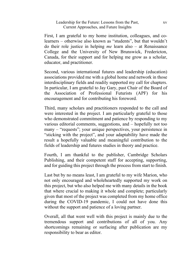First, I am grateful to my home institution, colleagues, and colearners – otherwise also known as "students", but that wouldn't do their role justice in helping *me* learn also – at Renaissance College and the University of New Brunswick, Fredericton, Canada, for their support and for helping me grow as a scholar, educator, and practitioner.

Second, various international futures and leadership (education) associations provided me with a global home and network in those interdisciplinary fields and readily supported my call for chapters. In particular, I am grateful to Jay Gary, past Chair of the Board of the Association of Professional Futurists (APF) for his encouragement and for contributing his foreword.

Third, many scholars and practitioners responded to the call and were interested in the project. I am particularly grateful to those who demonstrated commitment and patience by responding to my various editorial comments, suggestions, and – hopefully not too many – "requests"; your unique perspectives, your persistence in "sticking with the project", and your adaptability have made the result a hopefully valuable and meaningful contribution to the fields of leadership and futures studies in theory and practice.

Fourth, I am thankful to the publisher, Cambridge Scholars Publishing, and their competent staff for accepting, supporting, and for guiding this project through the process from start to finish.

Last but by no means least, I am grateful to my wife Marion, who not only encouraged and wholeheartedly supported my work on this project, but who also helped me with many details in the book that where crucial to making it whole and complete; particularly given that most of the project was completed from my home office during the COVID-19 pandemic, I could not have done this without the support and patience of a loving partner.

Overall, all that went well with this project is mainly due to the tremendous support and contributions of all of you. Any shortcomings remaining or surfacing after publication are my responsibility to bear as editor.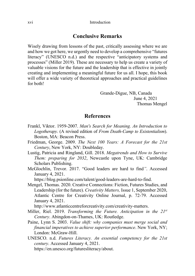### **Conclusive Remarks**

Wisely drawing from lessons of the past, critically assessing where we are and how we got here, we urgently need to develop a comprehensive "futures literacy" (UNESCO n.d.) and the respective "anticipatory systems and processes" (Miller 2019). These are necessary to help us create a variety of valuable visions for the future and the leadership that is effective in jointly creating and implementing a meaningful future for us all. I hope, this book will offer a wide variety of theoretical approaches and practical guidelines for both!

> Grande-Digue, NB, Canada June 4, 2021 Thomas Mengel

### **References**

- Frankl, Viktor. 1959-2007. *Man's Search for Meaning. An Introduction to Logotherapy*. (A revised edition of *From Death-Camp to Existentialism*). Boston, MA: Beacon Press.
- Friedman, George. 2009. *The Next 100 Years: A Forecast for the 21st Century*, New York, NY: Doubleday.
- Lustig, Patricia and Ringland, Gill. 2018. *Megatrends and How to Survive Them: preparing for 2032*, Newcastle upon Tyne, UK: Cambridge Scholars Publishing.
- McGlochlin, Trevor. 2017. "Good leaders are hard to find*"*. Accessed January 4, 2021.

[https://blog.psionline.com/talent/good-leaders-are-hard-to-find.](https://blog.psionline.com/talent/good-leaders-are-hard-to-find)

Mengel, Thomas. 2020. Creative Connections: Fiction, Futures Studies, and Leadership (for the future). *Creativity Matters,* Issue 1, September 2020, Atlantic Centre for Creativity Online Journal, p. 72-79. Accessed January 4, 2021.

[http://www.atlanticcentreforcreativity.com/creativity-matters.](http://www.atlanticcentreforcreativity.com/creativity-matters)

- Miller, Riel. 2019. *Transforming the Future. Anticipation in the 21st Century*. Abingdon-on-Thames, UK: Routledge.
- Paine, Lynn S. 2003. *Value shift: why companies must merge social and financial imperatives to achieve superior performance*. New York, NY; London: McGraw-Hill.
- UNESCO. n.d. *Futures Literacy. An essential competency for the 21st century*. Accessed January 4, 2021.

[https://en.unesco.org/futuresliteracy/about.](https://en.unesco.org/futuresliteracy/about)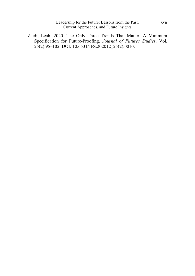Leadership for the Future: Lessons from the Past, Current Approaches, and Future Insights

Zaidi, Leah. 2020. The Only Three Trends That Matter: A Minimum Specification for Future-Proofing. *Journal of Futures Studies*. Vol. 25(2) 95–102. DOI: 10.6531/JFS.202012\_25(2).0010.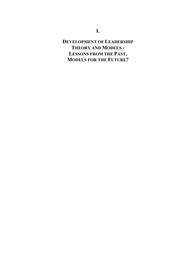# **DEVELOPMENT OF LEADERSHIP THEORY AND MODELS - LESSONS FROM THE PAST, MODELS FOR THE FUTURE?**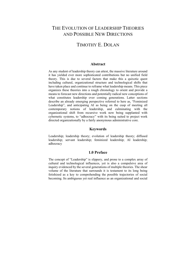# THE EVOLUTION OF LEADERSHIP THEORIES AND POSSIBLE NEW DIRECTIONS

# TIMOTHY E. DOLAN

#### **Abstract**

As any student of leadership theory can attest, the massive literature around it has yielded ever more sophisticated contributions but no unified field theory. This is due to several factors that make this a quixotic quest including cultural, organizational structure and technological shifts that have taken place and continue to reframe what leadership means. This piece organizes these theories into a rough chronology to orient and provide a means to forecast new directions and potentially radical new conceptions of what constitutes leadership over coming generations. Latter sections describe an already emerging perspective referred to here as, "Feminized Leadership", and anticipating AI as being on the cusp of meeting all contemporary notions of leadership, and culminating with the organizational shift from recursive work now being supplanted with cybernetic systems, to "adhocracy" with its being suited to project work directed organizationally by a fairly anonymous administrative core.

### **Keywords**

Leadership; leadership theory; evolution of leadership theory; diffused leadership; servant leadership; feminized leadership; AI leadership; adhocracy

### **1.0 Preface**

The concept of "Leadership" is slippery, and prone to a complex array of cultural and technological influences, yet is also a compulsive area of inquiry evidenced by the several generations of multiple theories. The shear volume of the literature that surrounds it is testament to its long being fetishized as a key to comprehending the possible trajectories of social becoming. Its ambiguous yet real influence as an organizational and social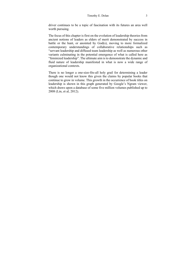driver continues to be a topic of fascination with its futures an area well worth pursuing.

The focus of this chapter is first on the evolution of leadership theories from ancient notions of leaders as elders of merit demonstrated by success in battle or the hunt, or anointed by God(s), moving to more formalized contemporary understandings of collaborative relationships such as "servant leadership and diffused team leadership as well as numerous other variants culminating in the potential emergence of what is called here as "feminized leadership". The ultimate aim is to demonstrate the dynamic and fluid nature of leadership manifested in what is now a wide range of organizational contexts.

There is no longer a one-size-fits-all holy grail for determining a leader though one would not know this given the claims by popular books that continue to grow in volume. This growth in the occurrence of book titles on leadership is shown in this graph generated by Google's Ngram viewer, which draws upon a database of some five million volumes published up to 2008 (Lin, et al, 2012).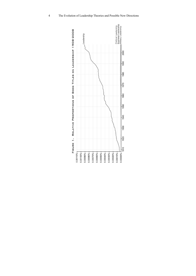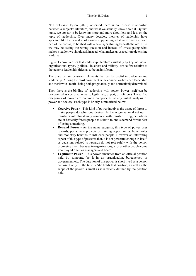#### Timothy E. Dolan 5

Neil deGrasse Tyson (2020) observed there is an inverse relationship between a subject's literature, and what we actually know about it. By that logic, we appear to be knowing more and more about less and less on the topic of leadership. Over many decades, theories of leadership have appeared like the new skin of a snake supplanting what were once a vibrant part of the corpus, to be shed with a new layer shining beneath the old. Thus we may be asking the wrong question and instead of investigating what makes a leader, we should ask instead, what makes us as a culture determine leaders?

Figure 1 above verifies that leadership literature variability by key individual organizational types, (political, business and military) are so few relative to the generic leadership titles as to be insignificant.

There are certain persistent elements that can be useful in understanding leadership. Among the most prominent is the connection between leadership and merit with "merit" being both pragmatically and normatively determined.

Then there is the binding of leadership with power. Power itself can be categorized as coercive, reward, legitimate, expert, or referent). These five categories of power are common components of any initial analysis of power and society. Each type is briefly summarized below:

- **Coercive Power -** This kind of power involves the usage of threat to make people do what one desires. In the organizational set up, it translates into threatening someone with transfer, firing, demotions etc. it basically forces people to submit to one's demand for the fear of losing something.
- **Reward Power -** As the name suggests, this type of power uses rewards, perks, new projects or training opportunities, better roles and monetary benefits to influence people. However an interesting aspect of this type of power is that, it is not powerful enough in itself, as decisions related to rewards do not rest solely with the person promising them, because in organizations, a lot of other people come into play like senior managers and board.
- **Legitimate Power -** This power emanates from an official position held by someone, be it in an organization, bureaucracy or government etc. The duration of this power is short lived as a person can use it only till the time he/she holds that position, as well as, the scope of the power is small as it is strictly defined by the position held.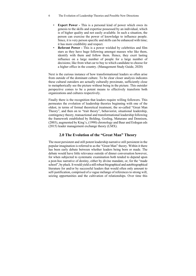#### 6 The Evolution of Leadership Theories and Possible New Directions

- **Expert Power -** This is a personal kind of power which owes its genesis to the skills and expertise possessed by an individual, which is of higher quality and not easily available. In such a situation, the person can exercise the power of knowledge to influence people. Since, it is very person specific and skills can be enhanced with time; it has more credibility and respect.
- **Referent Power -** This is a power wielded by celebrities and film stars as they have huge following amongst masses who like them, identify with them and follow them. Hence, they exert lasting influence on a large number of people for a large number of decisions; like from what car to buy to which candidate to choose for a higher office in the country. (Management Study Guide, 2020)

Next is the curious instance of how transformational leaders so often arise from outside of the dominant culture. To be clear closer analysis indicates these cultural outsiders are actually culturally proximate, sufficiently close to metaphorically see the picture without being in the picture. This outsider perspective comes to be a potent means to effectively transform both organizations and cultures respectively.

Finally there is the recognition that leaders require willing followers. This permeates the evolution of leadership theories beginning with one of the oldest, in terms of formal theoretical treatment, the so-called "Great Man Theory", and then on to "trait theory", behaviorist, situational leadership, contingency theory, transactional and transformational leadership following the framework established by Bolding, Gosling, Maturano and Dennison, (2003), augmented by King's, (1990) chronology and Baur and Erdogan eds (2015) leader management exchange theory (LMX).

### **2.0 The Evolution of the "Great Man" Theory**

The most persistent and still potent leadership narrative still persistent in the popular imagination is referred to as the "Great Man" theory. Within it there has been early debate between whether leaders being born or made. The debate would have little relevance outside of dinner conversation however, for when subjected to systematic examination both tended to depend upon a post-hoc narrative of destiny, either by divine mandate, or, for the "made school", by pluck. It would yield a still robust biographical and autobiographical literature for and/or by successful leaders that would often only amount to self-justification, comprised of a vague mélange of references to strong will, seizing opportunities and the cultivation of relationships. Over time this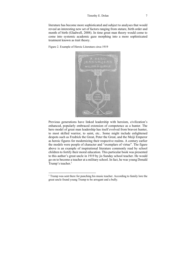literature has become more sophisticated and subject to analyses that would reveal an interesting new set of factors ranging from stature, birth order and month of birth (Gladwell, 2008). In time great man theory would come to come into systemic academic gaze morphing into a more sophisticated treatment known as trait theory.

Figure 2. Example of Heroic Literature circa 1919



Previous generations have linked leadership with heroism, civilization's enhanced, popularly embraced extension of competence as a hunter. The hero model of great man leadership has itself evolved from bravest hunter, to most skilled warrior, to saint, etc.. Some might include enlightened despots such as Fredrick the Great, Peter the Great, and the Meiji Emperor as heroic figures for modernizing their respective realms. A century earlier the models were people of character and "exemplars of virtue". The figure above is an example of inspirational literature commonly read by school children to fortify their moral education. This particular book was presented to this author's great uncle in 1919 by jis Sunday school teacher. He would go on to become a teacher at a military school. In fact, he was young Donald Trump's teacher.<sup>1</sup>

<sup>&</sup>lt;sup>1</sup> Trump was sent there for punching his music teacher. According to family lore the great uncle found young Trump to be arrogant and a bully.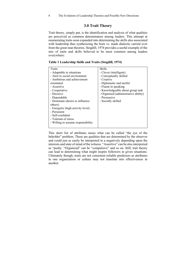### **3.0 Trait Theory**

Trait theory, simply put, is the identification and analysis of what qualities are perceived as common denominators among leaders. This attempt at enumerating traits soon expanded into determining the skills also associated with leadership thus synthesizing the born vs. made dialectic carried over from the great man theories. Stogdill, 1974 provides a useful example of the mix of traits and skills believed to be most common among leaders everywhere:

| Traits                             | <b>Skills</b>                        |
|------------------------------------|--------------------------------------|
| - Adaptable to situations          | - Clever (intelligent)               |
| - Alert to social environment      | - Conceptually skilled               |
| - Ambitious and achievement-       | - Creative                           |
| orientated                         | - Diplomatic and tactful             |
| - Assertive                        | - Fluent in speaking                 |
| - Cooperative                      | - Knowledgeable about group task     |
| - Decisive                         | - Organised (administrative ability) |
| - Dependable                       | - Persuasive                         |
| - Dominant (desire to influence    | - Socially skilled                   |
| others)                            |                                      |
| - Energetic (high activity level)  |                                      |
| - Persistent                       |                                      |
| - Self-confident                   |                                      |
| - Tolerant of stress               |                                      |
| - Willing to assume responsibility |                                      |
|                                    |                                      |

**Table 1 Leadership Skills and Traits (Stogdill, 1974)** 

This short list of attributes raises what can be called "the eye of the beholder" problem. These are qualities that are determined by the observer and could just as easily be interpreted in a negatively depending upon the interests and state of mind of the witness. "Assertive" can be also interpreted as "pushy. "Organized" can be "compulsive" and so on. Still, trait theory can lead to determining what might inspire followers in given situations. Ultimately though, traits are not consistent reliable predictors as attributes in one organization or culture may not translate into effectiveness in another.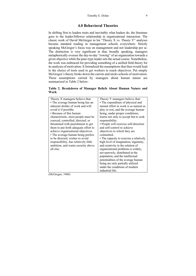### **4.0 Behavioral Theories**

In shifting first to leaders traits and inevitably what leaders do, the literature goes to the leader/follower relationship in organizational interaction. The classic work of David McGregor in his "Theory X vs. Theory Y" analyses became standard reading in management schools everywhere. Strictly speaking McGregor's focus was on management and not leadership per se. The distinction is very significant in that, broadly speaking, managers metaphorically oversee the day-to-day "rowing" of an organization towards a given objective while the pure-type leader sets the actual course. Nonetheless, the work was embraced for providing something of a unified field theory for its analyses of motivation. It formalized the assumptions that then would lead to the choice of tools used to get workers to reach objectives. Put simply McGregor's theory broke down the carrots and sticks schools of motivation. These assumptions carried by managers about human nature are summarized in Table 2 below:

|      | Table 2. Breakdown of Manager Beliefs About Human Nature and |  |  |  |  |
|------|--------------------------------------------------------------|--|--|--|--|
| Work |                                                              |  |  |  |  |

| Theory X managers believe that:<br>• The average human being has an<br>inherent dislike of work and will<br>avoid it if possible.<br>• Because of this human<br>characteristic, most people must be<br>coerced, controlled, directed, or<br>threatened with punishment to get<br>them to put forth adequate effort to<br>achieve organizational objectives.<br>• The average human being prefers<br>to be directed, wishes to avoid<br>responsibility, has relatively little<br>ambition, and wants security above<br>all else. | Theory Y managers believe that:<br>• The expenditure of physical and<br>mental effort in work is as natural as<br>play or rest, and the average human<br>being, under proper conditions,<br>learns not only to accept but to seek<br>responsibility.<br>• People will exercise self-direction<br>and self-control to achieve<br>objectives to which they are<br>committed.<br>• The capacity to exercise a relatively<br>high level of imagination, ingenuity,<br>and creativity in the solution of<br>organizational problems is widely,<br>not narrowly, distributed in the<br>population, and the intellectual<br>potentialities of the average human<br>being are only partially utilized<br>under the conditions of modern<br>industrial life. |
|---------------------------------------------------------------------------------------------------------------------------------------------------------------------------------------------------------------------------------------------------------------------------------------------------------------------------------------------------------------------------------------------------------------------------------------------------------------------------------------------------------------------------------|-----------------------------------------------------------------------------------------------------------------------------------------------------------------------------------------------------------------------------------------------------------------------------------------------------------------------------------------------------------------------------------------------------------------------------------------------------------------------------------------------------------------------------------------------------------------------------------------------------------------------------------------------------------------------------------------------------------------------------------------------------|
|---------------------------------------------------------------------------------------------------------------------------------------------------------------------------------------------------------------------------------------------------------------------------------------------------------------------------------------------------------------------------------------------------------------------------------------------------------------------------------------------------------------------------------|-----------------------------------------------------------------------------------------------------------------------------------------------------------------------------------------------------------------------------------------------------------------------------------------------------------------------------------------------------------------------------------------------------------------------------------------------------------------------------------------------------------------------------------------------------------------------------------------------------------------------------------------------------------------------------------------------------------------------------------------------------|

(McGregor, 1960)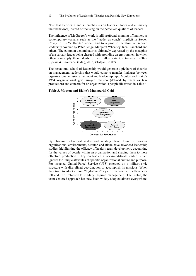Note that theories X and Y, emphasizes on leader attitudes and ultimately their behaviors, instead of focusing on the perceived qualities of leaders.

The influence of McGregor's work is still profound spinning off numerous contemporary variants such as the "leader as coach" implicit in Steven Covey in his "7 Habits" works, and to a prolific literature on servant leadership covered by Peter Senge, Margaret Wheatley, Ken Blanchard and others. The common denominator is ultimately expressed by the metaphor of the servant leader being charged with providing an environment in which others can apply their talents to their fullest extent. (Greenleaf, 2002), (Spears & Lawrence, (Eds.), 2016) (Talgam, 2009).

The behavioral school of leadership would generate a plethora of theories on management leadership that would come to manifest linkages between organizational mission attainment and leadership type. Mouton and Blake's 1964 organizational grid arrayed mission (defined by them as task production) and concern for an organization's people illustrated in Table 3:



**Table 3. Mouton and Blake's Managerial Grid** 

By charting behavioral styles and relating those found in various organizational environments, Mouton and Blake have advanced leadership studies, highlighting the efficacy of healthy team development, accounting for the values of people within an organization and shaping them to more effective production. They contradict a one-size-fits-all leader, which ignores the unique attributes of specific organizational culture and purpose. For instance, United Parcel Service (UPS) operated on a military-style structure with disciplined coordination to accomplish its missions. When they tried to adopt a more "high-touch" style of management, efficiencies fell and UPS returned to military inspired management. That noted, the team-centered approach has now been widely adopted almost everywhere.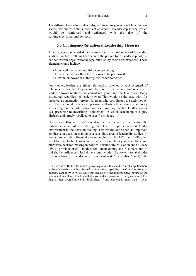The diffused leadership style configured to sub-organizational functon now seems obvious with the subsequent advances in leadership theory, which would be reinforced and enhanced with the rise of the contingency/situational schools.

## **5.0 Contingency/Situational Leadership Theories**

A new generation heralded the contingency/situational school of leadership studies. Fiedler, 1958 has been seen as the progenitor of leadership not just defined within organizational type but also by their circumstances. These elements would include:

- How well the leader and followers got along.
- How structured or fluid the task was to be performed
- How much power or authority the leader possesses.

For Fiedler, leaders are either relationship oriented or task oriented. If relationship oriented they would be more effective in situations where leader-follower relations are considered good, and the task roles clearly structured, regardless of leader power. This would be the case with, for instance a construction project foreman who coordinates the activities on site. Task oriented leaders also perform well when their power or authority was strong, but the task unstructured as in military combat. Fiedler's work is a precursor to describing "adhocracy" in which leadership is highly diffused and largely localized to specific projects.

Hersey and Blanchard, 1977 would refine this theoretical line, adding the critical element of considering the level of participant/stakeholder involvement in the decision-making. This would come open an important emphasis on decision-making as a subsidiary area of leadership studies. It was an immensely influential area of emphasis in the 1970s and 1980s, that would come to be known as reference group theory in sociology and pluralistic decision-making in political science circles. Coplin and O'Leary (1972) provided useful models for understanding the 3 dimensions of stakeholder influence. The 3 dimensions include: The power the stakeholder has in relation to the decision maker (interest  $*$  capability  $*$  will)  $2$  the

<sup>&</sup>lt;sup>2</sup> This is one of Rudolf Rummel's power equations that can be usefully applied here with each variable weighted from 0 (no interest or capability or will) to 3 (existential interest, capability or will). Note that because of the multiplicative nature of the formula, if any element is 0 then that stakeholder's power is 0. If any element is less than 1, then overall power is diminished. If any element is more than 1, even